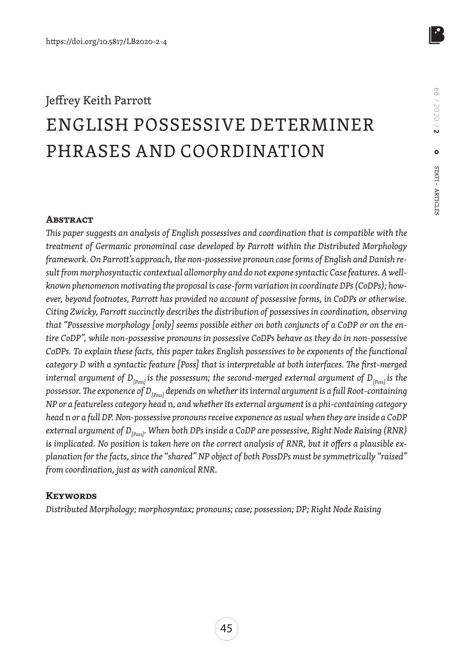# Jeffrey Keith Parrott ENGLISH POSSESSIVE DETERMINER PHRASES AND COORDINATION

#### **ABSTRACT**

*This paper suggests an analysis of English possessives and coordination that is compatible with the treatment of Germanic pronominal case developed by Parrott within the Distributed Morphology framework. On Parrott's approach, the non-possessive pronoun case forms of English and Danish result from morphosyntactic contextual allomorphy and do not expone syntactic Case features. A wellknown phenomenon motivating the proposal is case-form variation in coordinate DPs (CoDPs); however, beyond footnotes, Parrott has provided no account of possessive forms, in CoDPs or otherwise. Citing Zwicky, Parrott succinctly describes the distribution of possessives in coordination, observing that "Possessive morphology [only] seems possible either on both conjuncts of a CoDP or on the entire CoDP", while non-possessive pronouns in possessive CoDPs behave as they do in non-possessive CoDPs. To explain these facts, this paper takes English possessives to be exponents of the functional category D with a syntactic feature [Poss] that is interpretable at both interfaces. The first-merged internal argument of D<sub>[Poss]</sub> is the possessum; the second-merged external argument of D<sub>[Poss]</sub> is the* possessor. The exponence of D<sub>[poss]</sub> depends on whether its internal argument is a full Root-containing *NP or a featureless category head* n*, and whether its external argument is a phi-containing category head* n *or a full DP. Non-possessive pronouns receive exponence as usual when they are inside a CoDP*  external argument of D<sub>[Poss]</sub>. When both DPs inside a CoDP are possessive, Right Node Raising (RNR) *is implicated. No position is taken here on the correct analysis of RNR, but it offers a plausible explanation for the facts, since the "shared" NP object of both PossDPs must be symmetrically "raised" from coordination, just as with canonical RNR.*

#### **Keywords**

*Distributed Morphology; morphosyntax; pronouns; case; possession; DP; Right Node Raising*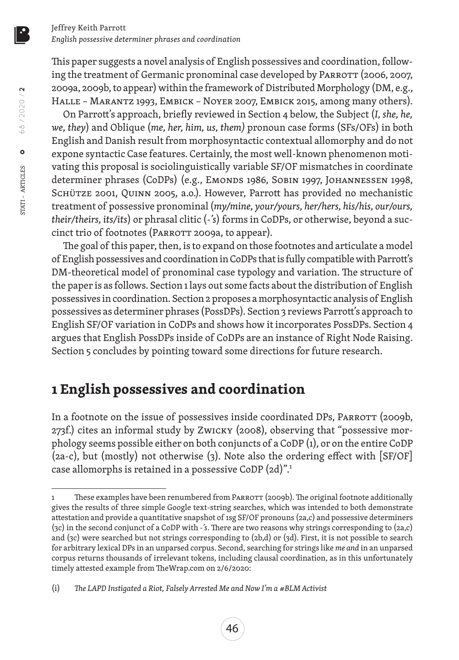This paper suggests a novel analysis of English possessives and coordination, following the treatment of Germanic pronominal case developed by PARROTT (2006, 2007, 2009a, 2009b, to appear) within the framework of Distributed Morphology (DM, e.g., Halle – Marantz 1993, Embick – Noyer 2007, Embick 2015, among many others).

On Parrott's approach, briefly reviewed in Section 4 below, the Subject (*I, she, he, we, they*) and Oblique (*me, her, him, us, them)* pronoun case forms (SFs/OFs) in both English and Danish result from morphosyntactic contextual allomorphy and do not expone syntactic Case features. Certainly, the most well-known phenomenon motivating this proposal is sociolinguistically variable SF/OF mismatches in coordinate determiner phrases (CoDPs) (e.g., EMONDS 1986, SOBIN 1997, JOHANNESSEN 1998, SCHÜTZE 2001, QUINN 2005, a.o.). However, Parrott has provided no mechanistic treatment of possessive pronominal (*my/mine, your/yours, her/hers, his/his, our/ours, their/theirs, its/its*) or phrasal clitic (*-'s*) forms in CoDPs, or otherwise, beyond a succinct trio of footnotes (PARROTT 2009a, to appear).

The goal of this paper, then, is to expand on those footnotes and articulate a model of English possessives and coordination in CoDPs that is fully compatible with Parrott's DM-theoretical model of pronominal case typology and variation. The structure of the paper is as follows. Section 1 lays out some facts about the distribution of English possessives in coordination. Section 2 proposes a morphosyntactic analysis of English possessives as determiner phrases (PossDPs). Section 3 reviews Parrott's approach to English SF/OF variation in CoDPs and shows how it incorporates PossDPs. Section 4 argues that English PossDPs inside of CoDPs are an instance of Right Node Raising. Section 5 concludes by pointing toward some directions for future research.

# **1 English possessives and coordination**

In a footnote on the issue of possessives inside coordinated DPs, PARROTT (2009b, 273f.) cites an informal study by Zwicky (2008), observing that "possessive morphology seems possible either on both conjuncts of a CoDP (1), or on the entire CoDP (2a-c), but (mostly) not otherwise (3). Note also the ordering effect with [SF/OF] case allomorphs is retained in a possessive CoDP (2d)".1

<sup>1</sup> These examples have been renumbered from PARROTT (2009b). The original footnote additionally gives the results of three simple Google text-string searches, which was intended to both demonstrate attestation and provide a quantitative snapshot of 1sg SF/OF pronouns (2a,c) and possessive determiners (3c) in the second conjunct of a CoDP with *-'s*. There are two reasons why strings corresponding to (2a,c) and (3c) were searched but not strings corresponding to (2b,d) or (3d). First, it is not possible to search for arbitrary lexical DPs in an unparsed corpus. Second, searching for strings like *me and* in an unparsed corpus returns thousands of irrelevant tokens, including clausal coordination, as in this unfortunately timely attested example from TheWrap.com on 2/6/2020:

<sup>(</sup>i) *The LAPD Instigated a Riot, Falsely Arrested Me and Now I'm a #BLM Activist*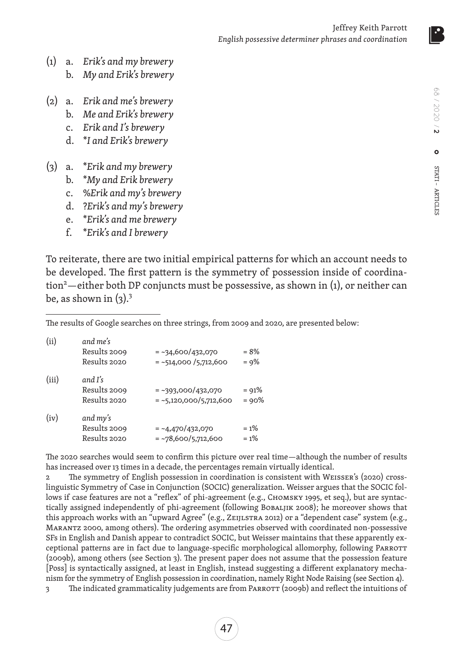- (1) a. *Erik's and my brewery* b. *My and Erik's brewery*
- (2) a. *Erik and me's brewery*
	- b. *Me and Erik's brewery*
	- c. *Erik and I's brewery*
	- d. \**I and Erik's brewery*
- (3) a. \**Erik and my brewery*
	- b. \**My and Erik brewery*
	- c. %*Erik and my's brewery*
	- d. ?*Erik's and my's brewery*
	- e. \**Erik's and me brewery*
	- f. \**Erik's and I brewery*

To reiterate, there are two initial empirical patterns for which an account needs to be developed. The first pattern is the symmetry of possession inside of coordination<sup>2</sup>—either both DP conjuncts must be possessive, as shown in (1), or neither can be, as shown in  $(3)$ .<sup>3</sup>

The results of Google searches on three strings, from 2009 and 2020, are presented below:

| (ii)  | and me's<br>Results 2009<br>Results 2020 | $=$ ~34,600/432,070<br>$=$ ~514,000 /5,712,600   | $= 8\%$<br>$= 9\%$   |
|-------|------------------------------------------|--------------------------------------------------|----------------------|
| (iii) | and I's<br>Results 2009<br>Results 2020  | $=$ ~393,000/432,070<br>$=$ ~5,120,000/5,712,600 | $= 91\%$<br>$= 90\%$ |
| (iv)  | and my's<br>Results 2009<br>Results 2020 | $=$ ~4,470/432,070<br>$=$ ~78,600/5,712,600      | $= 1\%$<br>$= 1\%$   |

The 2020 searches would seem to confirm this picture over real time—although the number of results has increased over 13 times in a decade, the percentages remain virtually identical.

2 The symmetry of English possession in coordination is consistent with Weisser's (2020) crosslinguistic Symmetry of Case in Conjunction (SOCIC) generalization. Weisser argues that the SOCIC follows if case features are not a "reflex" of phi-agreement (e.g., CHOMSKY 1995, et seq.), but are syntactically assigned independently of phi-agreement (following Bobaljik 2008); he moreover shows that this approach works with an "upward Agree" (e.g., Zeijlstra 2012) or a "dependent case" system (e.g., Marantz 2000, among others). The ordering asymmetries observed with coordinated non-possessive SFs in English and Danish appear to contradict SOCIC, but Weisser maintains that these apparently exceptional patterns are in fact due to language-specific morphological allomorphy, following Parrott (2009b), among others (see Section 3). The present paper does not assume that the possession feature [Poss] is syntactically assigned, at least in English, instead suggesting a different explanatory mechanism for the symmetry of English possession in coordination, namely Right Node Raising (see Section 4). The indicated grammaticality judgements are from PARROTT (2009b) and reflect the intuitions of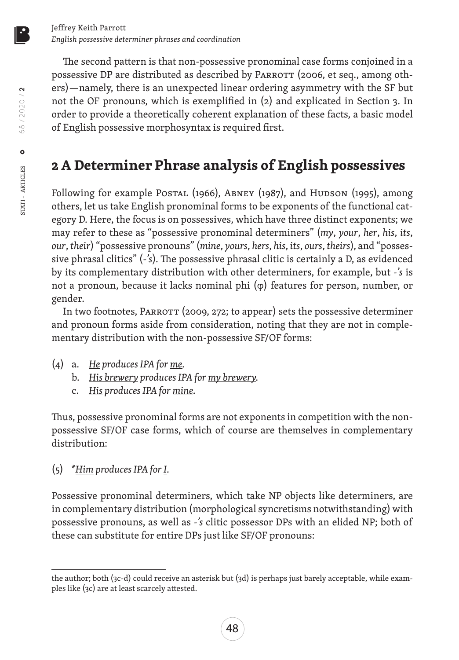The second pattern is that non-possessive pronominal case forms conjoined in a possessive DP are distributed as described by PARROTT (2006, et seq., among others)—namely, there is an unexpected linear ordering asymmetry with the SF but not the OF pronouns, which is exemplified in (2) and explicated in Section 3. In order to provide a theoretically coherent explanation of these facts, a basic model of English possessive morphosyntax is required first.

# **2 A Determiner Phrase analysis of English possessives**

Following for example Postal (1966), ABNEY (1987), and Hudson (1995), among others, let us take English pronominal forms to be exponents of the functional category D. Here, the focus is on possessives, which have three distinct exponents; we may refer to these as "possessive pronominal determiners" (*my*, *your*, *her*, *his*, *its*, *our*, *their*) "possessive pronouns" (*mine*, *yours*, *hers*, *his*, *its*, *ours*, *theirs*), and "possessive phrasal clitics" (*-'s*). The possessive phrasal clitic is certainly a D, as evidenced by its complementary distribution with other determiners, for example, but *-'s* is not a pronoun, because it lacks nominal phi (φ) features for person, number, or gender.

In two footnotes, PARROTT (2009, 272; to appear) sets the possessive determiner and pronoun forms aside from consideration, noting that they are not in complementary distribution with the non-possessive SF/OF forms:

- (4) a. *He produces IPA for me.*
	- b. *His brewery produces IPA for my brewery.*
	- c. *His produces IPA for mine.*

Thus, possessive pronominal forms are not exponents in competition with the nonpossessive SF/OF case forms, which of course are themselves in complementary distribution:

(5) \**Him produces IPA for I.*

Possessive pronominal determiners, which take NP objects like determiners, are in complementary distribution (morphological syncretisms notwithstanding) with possessive pronouns, as well as *-'s* clitic possessor DPs with an elided NP; both of these can substitute for entire DPs just like SF/OF pronouns:

68 / 2020 / **2**

58 / 2020 / 2

STATI – ARTICLES

STATI - ARTICLES

 $\circ$ 

the author; both (3c-d) could receive an asterisk but (3d) is perhaps just barely acceptable, while examples like (3c) are at least scarcely attested.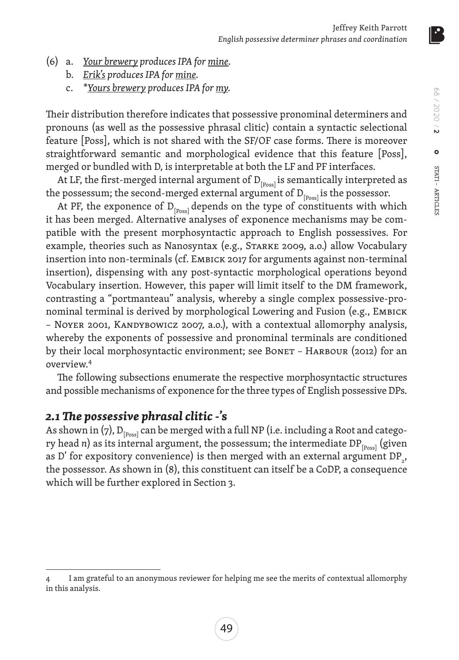- (6) a. *Your brewery produces IPA for mine.*
	- b. *Erik's produces IPA for mine.*
	- c. *\*Yours brewery produces IPA for my.*

Their distribution therefore indicates that possessive pronominal determiners and pronouns (as well as the possessive phrasal clitic) contain a syntactic selectional feature [Poss], which is not shared with the SF/OF case forms. There is moreover straightforward semantic and morphological evidence that this feature [Poss], merged or bundled with D, is interpretable at both the LF and PF interfaces.

At LF, the first-merged internal argument of  $D_{\text{p}_{\text{pos}}|}$  is semantically interpreted as the possessum; the second-merged external argument of  $D_{[p,est]}$  is the possessor.

At PF, the exponence of  $D_{[Poss]}$  depends on the type of constituents with which it has been merged. Alternative analyses of exponence mechanisms may be compatible with the present morphosyntactic approach to English possessives. For example, theories such as Nanosyntax (e.g., Starke 2009, a.o.) allow Vocabulary insertion into non-terminals (cf. Embick 2017 for arguments against non-terminal insertion), dispensing with any post-syntactic morphological operations beyond Vocabulary insertion. However, this paper will limit itself to the DM framework, contrasting a "portmanteau" analysis, whereby a single complex possessive-pronominal terminal is derived by morphological Lowering and Fusion (e.g., Embick – Noyer 2001, Kandybowicz 2007, a.o.), with a contextual allomorphy analysis, whereby the exponents of possessive and pronominal terminals are conditioned by their local morphosyntactic environment; see BONET - HARBOUR (2012) for an overview.4

The following subsections enumerate the respective morphosyntactic structures and possible mechanisms of exponence for the three types of English possessive DPs.

### *2.1 The possessive phrasal clitic* **-'s**

As shown in (7),  $D_{[Poss]}$  can be merged with a full NP (i.e. including a Root and category head *n*) as its internal argument, the possessum; the intermediate DP $_{[p_{\text{oss}}]}$  (given as D' for expository convenience) is then merged with an external argument  $DP_{2}$ , the possessor. As shown in (8), this constituent can itself be a CoDP, a consequence which will be further explored in Section 3.

<sup>4</sup> I am grateful to an anonymous reviewer for helping me see the merits of contextual allomorphy in this analysis.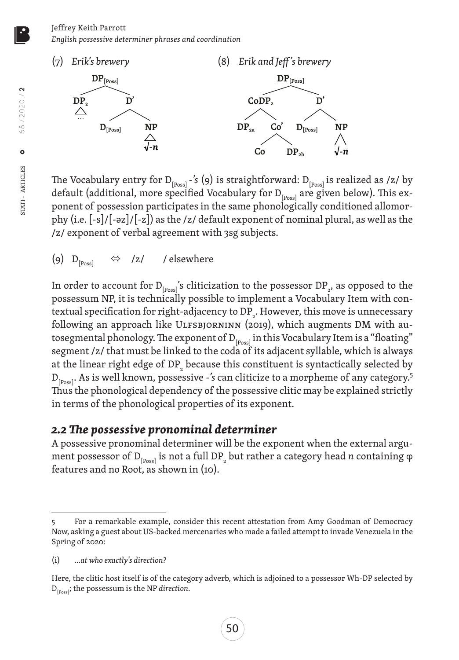

The Vocabulary entry for D<sub>[Poss]</sub> -'s (9) is straightforward: D<sub>[Poss]</sub> is realized as /z/ by default (additional, more specified Vocabulary for  $D_{[p,ext]}$  are given below). This exponent of possession participates in the same phonologically conditioned allomorphy (i.e. [-s]/[-əz]/[-z]) as the /z/ default exponent of nominal plural, as well as the /z/ exponent of verbal agreement with 3sg subjects.

(9)  $D_{[Poss]} \Leftrightarrow /z/$  / elsewhere

In order to account for  ${\rm D}_{\rm [Poss]}$ 's cliticization to the possessor  ${\rm DP}_{_2}$ , as opposed to the possessum NP, it is technically possible to implement a Vocabulary Item with contextual specification for right-adjacency to DP $_{\textrm{\tiny{2}}}$ . However, this move is unnecessary following an approach like ULFSBJORNINN (2019), which augments DM with autosegmental phonology. The exponent of  $D_{[p_{\text{oss}}]}$  in this Vocabulary Item is a "floating" segment /z/ that must be linked to the coda of its adjacent syllable, which is always at the linear right edge of DP $_{\tiny 2}$  because this constituent is syntactically selected by D<sub>[Poss]</sub>. As is well known, possessive -'s can cliticize to a morpheme of any category.<sup>5</sup> Thus the phonological dependency of the possessive clitic may be explained strictly in terms of the phonological properties of its exponent.

# *2.2 The possessive pronominal determiner*

A possessive pronominal determiner will be the exponent when the external argument possessor of  $\mathtt{D}_{\mathsf{[Poss]}}$  is not a full  $\mathtt{DP}_{_2}$  but rather a category head  $n$  containing  $\phi$ features and no Root, as shown in (10).

<sup>5</sup> For a remarkable example, consider this recent attestation from Amy Goodman of Democracy Now, asking a guest about US-backed mercenaries who made a failed attempt to invade Venezuela in the Spring of 2020:

<sup>(</sup>i) *…at who exactly's direction?*

Here, the clitic host itself is of the category adverb, which is adjoined to a possessor Wh-DP selected by D[Poss]; the possessum is the NP *direction*.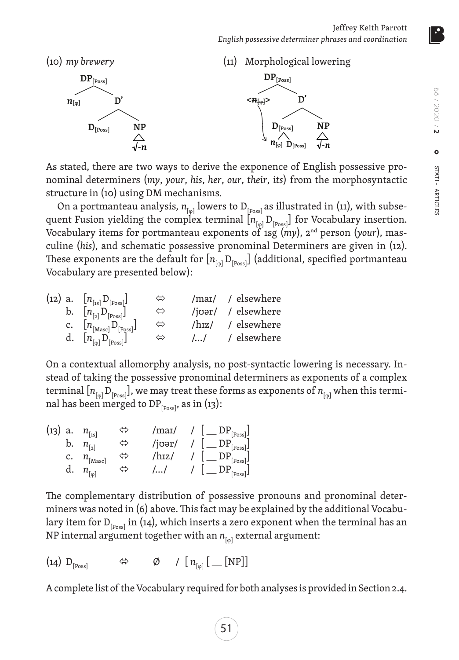

As stated, there are two ways to derive the exponence of English possessive pronominal determiners (*my*, *your*, *his*, *her*, *our*, *their*, *its*) from the morphosyntactic structure in (10) using DM mechanisms.

On a portmanteau analysis,  $n_{[\varphi]}$  lowers to  $\mathrm{D}_{[\mathrm{Poss}]}$  as illustrated in (11), with subsequent Fusion yielding the complex terminal  $[n_{\text{p}}]$  D<sub>[Poss]</sub>] for Vocabulary insertion. Vocabulary items for portmanteau exponents of 1sg (*my*), 2nd person (*your*), masculine (*his*), and schematic possessive pronominal Determiners are given in (12). These exponents are the default for  $[n_{\text{f}_{\text{eq}}} D_{\text{F}_{\text{p}_\text{on}}} ]$  (additional, specified portmanteau Vocabulary are presented below):

| (12) a. $[n_{\text{[1s]}}D_{\text{[Poss]}}]$            | ⇔                 |                               | /mai/ / elsewhere  |
|---------------------------------------------------------|-------------------|-------------------------------|--------------------|
| b. $[n_{\lceil 2\rceil}D_{\lfloor \text{Poss}\rfloor}]$ | ⇔                 |                               | /joər/ / elsewhere |
| c. $[n_{\text{[Masc]}}D_{\text{[Poss]}}]$               | $\Leftrightarrow$ | $/\text{h}$ <sub>IZ</sub> $/$ | / elsewhere        |
| d. $[n_{[\varphi]}D_{[\operatorname{Poss}}]$            | ⇔                 | $\left( \ldots \right)$       | / elsewhere        |

On a contextual allomorphy analysis, no post-syntactic lowering is necessary. Instead of taking the possessive pronominal determiners as exponents of a complex terminal  $[n_{\text{p}_\text{q}} D_{\text{p}_\text{poss}}]$ , we may treat these forms as exponents of  $n_{\text{p}_\text{q}}$  when this terminal has been merged to DP $_{[Poss]}$ , as in (13):

| (13) a. $n_{\text{[1S]}}$ |                        | ⇔ | /maɪ/  | $\underline{\mathsf{L}}$ _ DP <sub>[Poss]</sub>                  |
|---------------------------|------------------------|---|--------|------------------------------------------------------------------|
|                           | b. $n_{\text{a}}$      | ⇔ | /jʊər/ | $/$ $\left[\begin{array}{c}DP_{\text{[Poss]}}\end{array}\right]$ |
|                           | C. $n_{\text{[Masc]}}$ | ⇔ | /hɪz/  | $\lfloor$ _ DP <sub>[Poss]</sub>                                 |
| d.                        | $n_{[\varphi]}$        | ▽ | II     | $ \_\_DP_{[Poss]}$ J                                             |

The complementary distribution of possessive pronouns and pronominal determiners was noted in (6) above. This fact may be explained by the additional Vocabulary item for  $D_{[p_0,s]}$  in (14), which inserts a zero exponent when the terminal has an NP internal argument together with an  $n_{[<sub>ω</sub>]}$  external argument:

$$
(14) D_{[Poss]} \qquad \Leftrightarrow \qquad \emptyset \qquad / [n_{[q]} [ \underline{\qquad} [NP]]
$$

A complete list of the Vocabulary required for both analyses is provided in Section 2.4.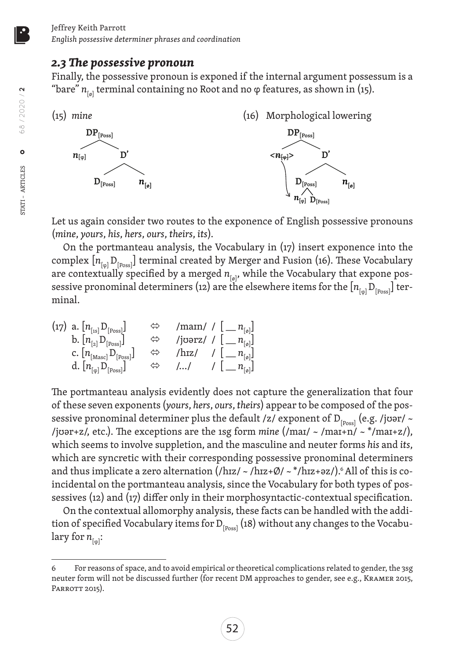### *2.3 The possessive pronoun*

Finally, the possessive pronoun is exponed if the internal argument possessum is a "bare"  $n_{\text{tot}}$  terminal containing no Root and no  $\varphi$  features, as shown in (15).



Let us again consider two routes to the exponence of English possessive pronouns (*mine*, *yours*, *his*, *hers*, *ours*, *theirs*, *its*).

On the portmanteau analysis, the Vocabulary in (17) insert exponence into the complex  $[n_{\text{p}_\text{ion}}]$  terminal created by Merger and Fusion (16). These Vocabulary are contextually specified by a merged  $n_{[6]}$ , while the Vocabulary that expone possessive pronominal determiners (12) are the elsewhere items for the  $[n_{\text{f}_{\text{m}},D_{\text{f}_{\text{p}_{\text{os}}}}]$  terminal.

$$
(17) \ a. [n_{[1s]} D_{[Poss]}] \qquad \Leftrightarrow \qquad / \text{mann} / [[-n_{[s]}] \ b. [n_{[2]} D_{[Poss]}] \qquad \Leftrightarrow \qquad / \text{jorsz} / [[-n_{[s]}] \ c. [n_{[Mass]} D_{[Poss]}] \qquad \Leftrightarrow \qquad / \text{hrz} / [[-n_{[s]}] \ d. [n_{[q]} D_{[Poss]}] \qquad \Leftrightarrow \qquad / ... / [[-n_{[s]}] \ d. [n_{[q]} D_{[Poss]}]
$$

The portmanteau analysis evidently does not capture the generalization that four of these seven exponents (*yours*, *hers*, *ours*, *theirs*) appear to be composed of the possessive pronominal determiner plus the default /z/ exponent of  $D_{\text{p}_\text{pos}}$  (e.g. /jʊər/ ~ /jʊər+z/, etc.). The exceptions are the 1sg form *mine* (/maɪ/ ~ /maɪ+n/ ~ \*/maɪ+z/), which seems to involve suppletion, and the masculine and neuter forms *his* and *its*, which are syncretic with their corresponding possessive pronominal determiners and thus implicate a zero alternation  $(|hzz| \sim /hzz+\emptyset/ \sim */hzz+\partial z/$ ).<sup>6</sup> All of this is coincidental on the portmanteau analysis, since the Vocabulary for both types of possessives (12) and (17) differ only in their morphosyntactic-contextual specification.

On the contextual allomorphy analysis, these facts can be handled with the addition of specified Vocabulary items for  $D_{[Poss]}$  (18) without any changes to the Vocabulary for  $n_{\text{f} \text{g}}$ :

52

<sup>6</sup> For reasons of space, and to avoid empirical or theoretical complications related to gender, the 3sg neuter form will not be discussed further (for recent DM approaches to gender, see e.g., Kramer 2015, PARROTT 2015).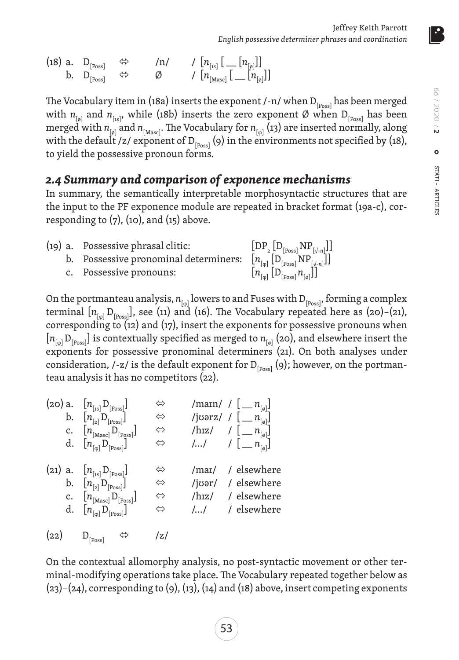(18) a.  $D_{\text{[Poss]}} \iff |n| \quad / [n_{\text{[ns]}} [-n_{\text{[0]}}]]$  $\begin{matrix} \texttt{b.} & \texttt{D}_{[\text{Poss}]} & \Leftrightarrow & \texttt{\oslash} & \texttt{\nearrow} & [n_{[\text{Masc}]} \, [ \,\_\_\_\texttt{[0]} ] ] \end{matrix} \end{matrix}$ 

The Vocabulary item in (18a) inserts the exponent /-n/ when  $D_{[Poss]}$  has been merged with  $n_{\text{[ø]} }$  and  $n_{\text{[1s]} }$ , while (18b) inserts the zero exponent Ø when  $D_{\text{[Poss] }}$  has been merged with  $n_{\text{tot}}$  and  $n_{\text{Mascl}}$ . The Vocabulary for  $n_{\text{tot}}$  (13) are inserted normally, along with the default /z/ exponent of  $D_{\text{p}_\text{pos}}(9)$  in the environments not specified by (18), to yield the possessive pronoun forms.

### *2.4 Summary and comparison of exponence mechanisms*

In summary, the semantically interpretable morphosyntactic structures that are the input to the PF exponence module are repeated in bracket format (19a-c), corresponding to  $(7)$ ,  $(10)$ , and  $(15)$  above.

| (19) a. Possessive phrasal clitic:                                                                                                                                                                                                                                                             |                                                                                                                     |
|------------------------------------------------------------------------------------------------------------------------------------------------------------------------------------------------------------------------------------------------------------------------------------------------|---------------------------------------------------------------------------------------------------------------------|
| a. Possessive phrasal clitic: $\begin{array}{ccc} \text{[DP}_{_2}\left[\text{D}_{\text{[Poss]}}\text{NP}_{[\sqrt{-n}]}\right] \\ \text{b. } & \text{Posesesive pronominal determiners: } & \left[n_{[{\phi}]} \left[\text{D}_{\text{[Poss]}}\text{NP}_{[\sqrt{-n}]}\right]\right] \end{array}$ |                                                                                                                     |
| c. Possessive pronouns:                                                                                                                                                                                                                                                                        | $\left[n_{\left[\varphi\right]}\left[\mathrm{D}_{\left[\mathrm{Poss}\right]}n_{\left[\varphi\right]}\right]\right]$ |

On the portmanteau analysis,  $n_{\text{[ω]}}$  lowers to and Fuses with  $D_{\text{[Poss]}}$ , forming a complex terminal  $[n_{\text{f}_{\varphi}}]$   $D_{\text{[Poss]}}$ , see (11) and (16). The Vocabulary repeated here as (20)–(21), corresponding to (12) and (17), insert the exponents for possessive pronouns when  $[n_{\text{p}}]$  D<sub>[Poss</sub>] is contextually specified as merged to  $n_{\text{p}}$  (20), and elsewhere insert the exponents for possessive pronominal determiners (21). On both analyses under consideration, /-z/ is the default exponent for  $D_{[Poss]}(9)$ ; however, on the portmanteau analysis it has no competitors (22).

(20) a. 
$$
[n_{[1s]}D_{[Poss]}]
$$
  $\Leftrightarrow$  /man/ /  $[-n_{[o]}]$   
\nb.  $[n_{[2]}D_{[Poss]}]$   $\Leftrightarrow$  /joerz/ /  $[-n_{[o]}]$   
\nc.  $[n_{[Mass]}D_{[Poss]}]$   $\Leftrightarrow$  /hrz/ /  $[-n_{[o]}]$   
\nd.  $[n_{[o]}D_{[Poss]}]$   $\Leftrightarrow$  /hrz/ /  $[-n_{[o]}]$   
\n(21) a.  $[n_{[1s]}D_{[Poss]}]$   $\Leftrightarrow$  /man/ / elsewhere  
\nb.  $[n_{[2]}D_{[Poss]}]$   $\Leftrightarrow$  /joer/ / elsewhere  
\nc.  $[n_{[Mass]}D_{[Poss]}]$   $\Leftrightarrow$  /hrz/ / elsewhere  
\nd.  $[n_{[o]}D_{[Poss]}]$   $\Leftrightarrow$  /hrz/ / elsewhere  
\n(22)  $D_{[Poss]}$   $\Leftrightarrow$  /z/

On the contextual allomorphy analysis, no post-syntactic movement or other terminal-modifying operations take place. The Vocabulary repeated together below as (23)–(24), corresponding to (9), (13), (14) and (18) above, insert competing exponents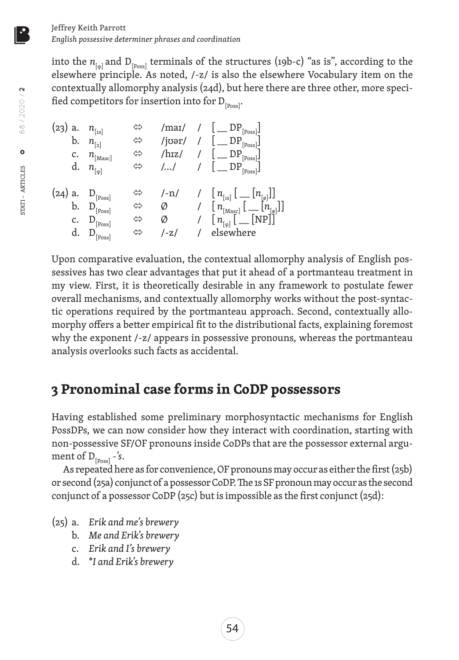into the  $n_{\text{[ω]}}$  and  $D_{\text{[poss]}}$  terminals of the structures (19b-c) "as is", according to the elsewhere principle. As noted, /-z/ is also the elsewhere Vocabulary item on the contextually allomorphy analysis (24d), but here there are three other, more specified competitors for insertion into for  $D_{[Poss]}$ .

| (23) a. $n_{[1s]}$<br>b.   | $n_{\lceil 2\rceil}$<br>$c.$ $n_{[Masc]}$<br>d. $n_{\lbrack\varphi]}$ | ⇔<br>⇔<br>⇔ |                               | /mai/ / $\lfloor$ DP <sub>[Poss]</sub><br>/joər/ / $[\_\text{Des}]$<br>/hɪz/ / $[$ $\mathbb{D}P_{\text{[Poss]}}]$<br>$  $ $ $ $[$ $DP_{[Poss]}]$                                                                                     |
|----------------------------|-----------------------------------------------------------------------|-------------|-------------------------------|--------------------------------------------------------------------------------------------------------------------------------------------------------------------------------------------------------------------------------------|
| (24) a. $D_{[Poss]}$<br>d. | b. $D_{[Poss]}$<br>c. $D_{[Poss]}$<br>$D_{\text{[Poss]}}$             | ⇔<br>⇔<br>⇔ | $[-n]$<br>Ø<br>Ø<br>$1 - 7.1$ | / $[n_{\text{[1s]}}]$ $[n_{\text{[0]}}]$<br>/ $\left[n_{\text{[Masc]}}\right]\left[\right.\left.\left.\left[n_{\text{[0]}}\right]\right]\right]$<br>/ $\lfloor n_{\lbrack \varphi \rbrack} \lfloor \text{NP} \rfloor$<br>/ elsewhere |

Upon comparative evaluation, the contextual allomorphy analysis of English possessives has two clear advantages that put it ahead of a portmanteau treatment in my view. First, it is theoretically desirable in any framework to postulate fewer overall mechanisms, and contextually allomorphy works without the post-syntactic operations required by the portmanteau approach. Second, contextually allomorphy offers a better empirical fit to the distributional facts, explaining foremost why the exponent /-z/ appears in possessive pronouns, whereas the portmanteau analysis overlooks such facts as accidental.

# **3 Pronominal case forms in CoDP possessors**

Having established some preliminary morphosyntactic mechanisms for English PossDPs, we can now consider how they interact with coordination, starting with non-possessive SF/OF pronouns inside CoDPs that are the possessor external argument of  $D_{\text{[p}_\text{ossl}} - \text{'s}.$ 

As repeated here as for convenience, OF pronouns may occur as either the first (25b) or second (25a) conjunct of a possessor CoDP. The 1s SF pronoun may occur as the second conjunct of a possessor CoDP (25c) but is impossible as the first conjunct (25d):

- (25) a. *Erik and me's brewery*
	- b. *Me and Erik's brewery*
	- c. *Erik and I's brewery*
	- d. \**I and Erik's brewery*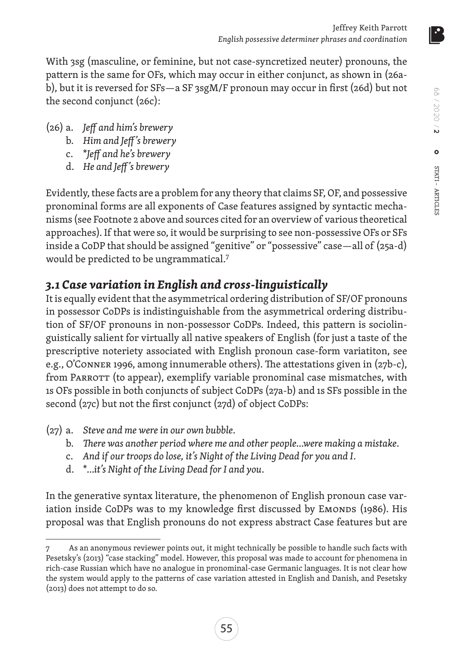With 3sg (masculine, or feminine, but not case-syncretized neuter) pronouns, the pattern is the same for OFs, which may occur in either conjunct, as shown in (26ab), but it is reversed for SFs—a SF 3sgM/F pronoun may occur in first (26d) but not the second conjunct (26c):

- (26) a. *Jeff and him's brewery*
	- b. *Him and Jeff 's brewery*
	- c. \**Jeff and he's brewery*
	- d. *He and Jeff 's brewery*

Evidently, these facts are a problem for any theory that claims SF, OF, and possessive pronominal forms are all exponents of Case features assigned by syntactic mechanisms (see Footnote 2 above and sources cited for an overview of various theoretical approaches). If that were so, it would be surprising to see non-possessive OFs or SFs inside a CoDP that should be assigned "genitive" or "possessive" case—all of (25a-d) would be predicted to be ungrammatical.7

# *3.1 Case variation in English and cross-linguistically*

It is equally evident that the asymmetrical ordering distribution of SF/OF pronouns in possessor CoDPs is indistinguishable from the asymmetrical ordering distribution of SF/OF pronouns in non-possessor CoDPs. Indeed, this pattern is sociolinguistically salient for virtually all native speakers of English (for just a taste of the prescriptive noteriety associated with English pronoun case-form variatiton, see e.g., O'Conner 1996, among innumerable others). The attestations given in (27b-c), from PARROTT (to appear), exemplify variable pronominal case mismatches, with 1s OFs possible in both conjuncts of subject CoDPs (27a-b) and 1s SFs possible in the second (27c) but not the first conjunct (27d) of object CoDPs:

- (27) a. *Steve and me were in our own bubble*.
	- b. *There was another period where me and other people…were making a mistake*.
	- c. *And if our troops do lose, it's Night of the Living Dead for you and I*.
	- d. \**…it's Night of the Living Dead for I and you*.

In the generative syntax literature, the phenomenon of English pronoun case variation inside CoDPs was to my knowledge first discussed by EMONDS (1986). His proposal was that English pronouns do not express abstract Case features but are

As an anonymous reviewer points out, it might technically be possible to handle such facts with Pesetsky's (2013) "case stacking" model. However, this proposal was made to account for phenomena in rich-case Russian which have no analogue in pronominal-case Germanic languages. It is not clear how the system would apply to the patterns of case variation attested in English and Danish, and Pesetsky (2013) does not attempt to do so.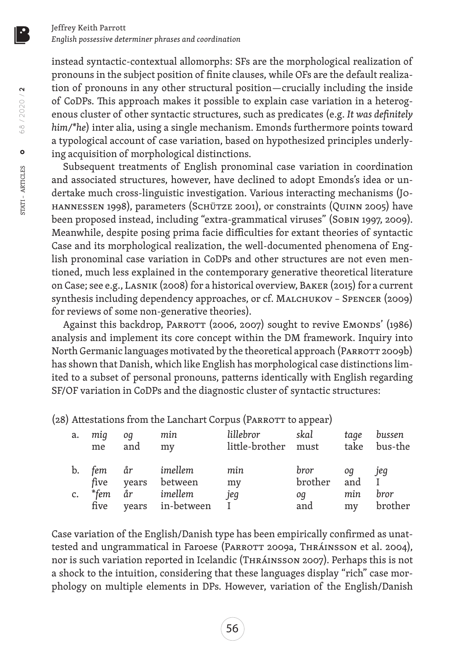instead syntactic-contextual allomorphs: SFs are the morphological realization of pronouns in the subject position of finite clauses, while OFs are the default realization of pronouns in any other structural position—crucially including the inside of CoDPs. This approach makes it possible to explain case variation in a heterogenous cluster of other syntactic structures, such as predicates (e.g. *It was definitely him/\*he*) inter alia, using a single mechanism. Emonds furthermore points toward a typological account of case variation, based on hypothesized principles underlying acquisition of morphological distinctions.

Subsequent treatments of English pronominal case variation in coordination and associated structures, however, have declined to adopt Emonds's idea or undertake much cross-linguistic investigation. Various interacting mechanisms (Johannessen 1998), parameters (Schütze 2001), or constraints (Quinn 2005) have been proposed instead, including "extra-grammatical viruses" (SOBIN 1997, 2009). Meanwhile, despite posing prima facie difficulties for extant theories of syntactic Case and its morphological realization, the well-documented phenomena of English pronominal case variation in CoDPs and other structures are not even mentioned, much less explained in the contemporary generative theoretical literature on Case; see e.g., Lasnik (2008) for a historical overview, Baker (2015) for a current synthesis including dependency approaches, or cf. MALCHUKOV - SPENCER (2009) for reviews of some non-generative theories).

Against this backdrop, PARROTT (2006, 2007) sought to revive EMONDS' (1986) analysis and implement its core concept within the DM framework. Inquiry into North Germanic languages motivated by the theoretical approach (PARROTT 2009b) has shown that Danish, which like English has morphological case distinctions limited to a subset of personal pronouns, patterns identically with English regarding SF/OF variation in CoDPs and the diagnostic cluster of syntactic structures:

(28) Attestations from the Lanchart Corpus (PARROTT to appear)

| a. | mig<br>me | oq<br>and | min<br>my        | lillebror<br>little-brother must | skal          | tage | bussen<br>take bus-the |
|----|-----------|-----------|------------------|----------------------------------|---------------|------|------------------------|
| b. |           | fem år    | imellem          | min                              | bror          | oq   | jeg                    |
|    | five      | years     | between          | my                               | brother and I |      |                        |
| c. |           | *fem år   | imellem          | jeg                              | oq            | min  | bror                   |
|    | five      |           | years in-between |                                  | and           | my   | brother                |

Case variation of the English/Danish type has been empirically confirmed as unattested and ungrammatical in Faroese (PARROTT 2009a, THRÁINSSON et al. 2004), nor is such variation reported in Icelandic (Thráinsson 2007). Perhaps this is not a shock to the intuition, considering that these languages display "rich" case morphology on multiple elements in DPs. However, variation of the English/Danish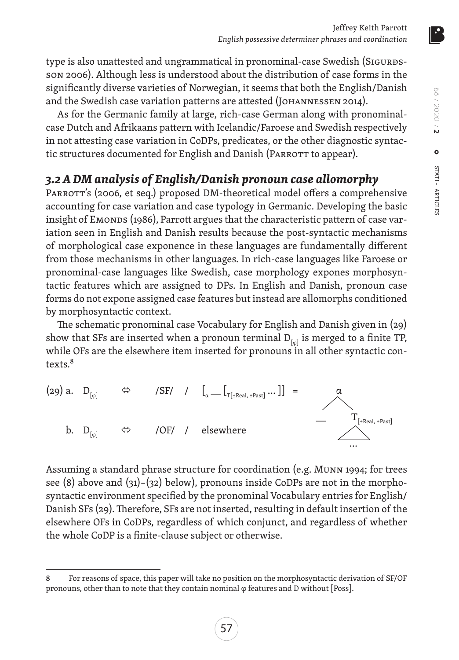type is also unattested and ungrammatical in pronominal-case Swedish (SIGURDSson 2006). Although less is understood about the distribution of case forms in the significantly diverse varieties of Norwegian, it seems that both the English/Danish and the Swedish case variation patterns are attested (JOHANNESSEN 2014).

As for the Germanic family at large, rich-case German along with pronominalcase Dutch and Afrikaans pattern with Icelandic/Faroese and Swedish respectively in not attesting case variation in CoDPs, predicates, or the other diagnostic syntactic structures documented for English and Danish (PARROTT to appear).

## *3.2 A DM analysis of English/Danish pronoun case allomorphy*

PARROTT's (2006, et seq.) proposed DM-theoretical model offers a comprehensive accounting for case variation and case typology in Germanic. Developing the basic insight of EMONDS (1986), Parrott argues that the characteristic pattern of case variation seen in English and Danish results because the post-syntactic mechanisms of morphological case exponence in these languages are fundamentally different from those mechanisms in other languages. In rich-case languages like Faroese or pronominal-case languages like Swedish, case morphology expones morphosyntactic features which are assigned to DPs. In English and Danish, pronoun case forms do not expone assigned case features but instead are allomorphs conditioned by morphosyntactic context.

The schematic pronominal case Vocabulary for English and Danish given in (29) show that SFs are inserted when a pronoun terminal  $D_{f(x)}$  is merged to a finite TP, while OFs are the elsewhere item inserted for pronouns in all other syntactic contexts.<sup>8</sup>



Assuming a standard phrase structure for coordination (e.g. Munn 1994; for trees see  $(8)$  above and  $(31)-(32)$  below), pronouns inside CoDPs are not in the morphosyntactic environment specified by the pronominal Vocabulary entries for English/ Danish SFs (29). Therefore, SFs are not inserted, resulting in default insertion of the elsewhere OFs in CoDPs, regardless of which conjunct, and regardless of whether the whole CoDP is a finite-clause subject or otherwise.

<sup>8</sup> For reasons of space, this paper will take no position on the morphosyntactic derivation of SF/OF pronouns, other than to note that they contain nominal φ features and D without [Poss].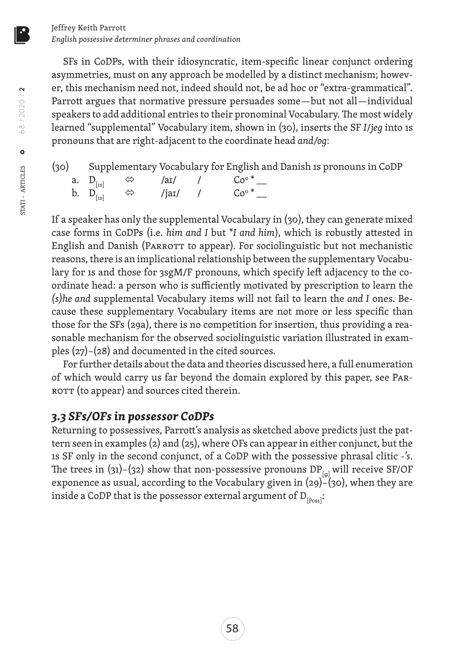SFs in CoDPs, with their idiosyncratic, item-specific linear conjunct ordering asymmetries, must on any approach be modelled by a distinct mechanism; however, this mechanism need not, indeed should not, be ad hoc or "extra-grammatical". Parrott argues that normative pressure persuades some—but not all—individual speakers to add additional entries to their pronominal Vocabulary. The most widely learned "supplemental" Vocabulary item, shown in (30), inserts the SF *I*/*jeg* into 1s pronouns that are right-adjacent to the coordinate head *and/og*:

|  |  | (30) Supplementary Vocabulary for English and Danish 1s pronouns in CoDP |
|--|--|--------------------------------------------------------------------------|
|  |  | a. $D_{[1s]} \Leftrightarrow$ /ar/ / $Co^{\circ}$ *                      |
|  |  | b. $D_{\text{[1s]}} \quad \Leftrightarrow \quad$ /jar/ / $Co^*$ _        |

If a speaker has only the supplemental Vocabulary in (30), they can generate mixed case forms in CoDPs (i.e. *him and I* but \**I and him*), which is robustly attested in English and Danish (PARROTT to appear). For sociolinguistic but not mechanistic reasons, there is an implicational relationship between the supplementary Vocabulary for 1s and those for 3sgM/F pronouns, which specify left adjacency to the coordinate head: a person who is sufficiently motivated by prescription to learn the *(s)he and* supplemental Vocabulary items will not fail to learn the *and I* ones. Because these supplementary Vocabulary items are not more or less specific than those for the SFs (29a), there is no competition for insertion, thus providing a reasonable mechanism for the observed sociolinguistic variation illustrated in examples (27)–(28) and documented in the cited sources.

For further details about the data and theories discussed here, a full enumeration of which would carry us far beyond the domain explored by this paper, see Parкотт (to appear) and sources cited therein.

### *3.3 SFs/OFs in possessor CoDPs*

Returning to possessives, Parrott's analysis as sketched above predicts just the pattern seen in examples (2) and (25), where OFs can appear in either conjunct, but the 1s SF only in the second conjunct, of a CoDP with the possessive phrasal clitic *-'s*. The trees in (31)–(32) show that non-possessive pronouns  $DP_{f_{\text{tot}}}$  will receive SF/OF exponence as usual, according to the Vocabulary given in (29)–(30), when they are inside a CoDP that is the possessor external argument of  $D_{[Poss]}$ :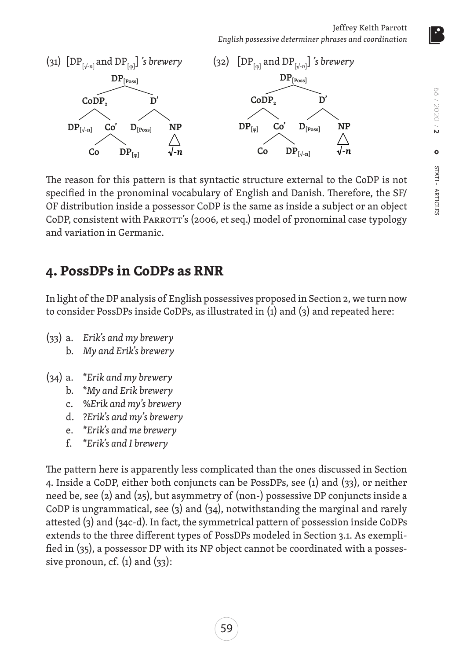Jeffrey Keith Parrott *English possessive determiner phrases and coordination*



The reason for this pattern is that syntactic structure external to the CoDP is not specified in the pronominal vocabulary of English and Danish. Therefore, the SF/ OF distribution inside a possessor CoDP is the same as inside a subject or an object CoDP, consistent with PARROTT's (2006, et seq.) model of pronominal case typology and variation in Germanic.

# **4. PossDPs in CoDPs as RNR**

In light of the DP analysis of English possessives proposed in Section 2, we turn now to consider PossDPs inside CoDPs, as illustrated in (1) and (3) and repeated here:

- (33) a. *Erik's and my brewery*
	- b. *My and Erik's brewery*
- (34) a. \**Erik and my brewery*
	- b. \**My and Erik brewery*
	- c. %*Erik and my's brewery*
	- d. ?*Erik's and my's brewery*
	- e. \**Erik's and me brewery*
	- f. \**Erik's and I brewery*

The pattern here is apparently less complicated than the ones discussed in Section 4. Inside a CoDP, either both conjuncts can be PossDPs, see (1) and (33), or neither need be, see (2) and (25), but asymmetry of (non-) possessive DP conjuncts inside a CoDP is ungrammatical, see (3) and (34), notwithstanding the marginal and rarely attested (3) and (34c-d). In fact, the symmetrical pattern of possession inside CoDPs extends to the three different types of PossDPs modeled in Section 3.1. As exemplified in (35), a possessor DP with its NP object cannot be coordinated with a possessive pronoun, cf.  $(1)$  and  $(33)$ :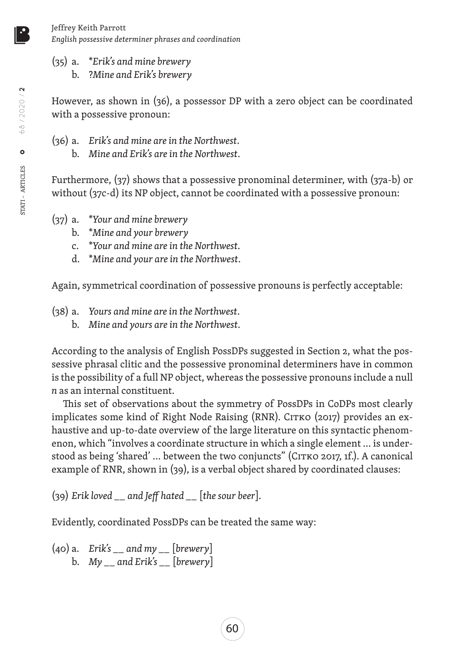(35) a. \**Erik's and mine brewery* b. ?*Mine and Erik's brewery*

However, as shown in (36), a possessor DP with a zero object can be coordinated with a possessive pronoun:

- (36) a. *Erik's and mine are in the Northwest*.
	- b. *Mine and Erik's are in the Northwest*.

Furthermore, (37) shows that a possessive pronominal determiner, with (37a-b) or without (37c-d) its NP object, cannot be coordinated with a possessive pronoun:

- (37) a. \**Your and mine brewery*
	- b. \**Mine and your brewery*
	- c. \**Your and mine are in the Northwest*.
	- d. \**Mine and your are in the Northwest*.

Again, symmetrical coordination of possessive pronouns is perfectly acceptable:

- (38) a. *Yours and mine are in the Northwest*.
	- b. *Mine and yours are in the Northwest*.

According to the analysis of English PossDPs suggested in Section 2, what the possessive phrasal clitic and the possessive pronominal determiners have in common is the possibility of a full NP object, whereas the possessive pronouns include a null *n* as an internal constituent.

This set of observations about the symmetry of PossDPs in CoDPs most clearly implicates some kind of Right Node Raising (RNR). CITKO (2017) provides an exhaustive and up-to-date overview of the large literature on this syntactic phenomenon, which "involves a coordinate structure in which a single element … is understood as being 'shared' ... between the two conjuncts" (CITKO 2017, 1f.). A canonical example of RNR, shown in (39), is a verbal object shared by coordinated clauses:

(39) *Erik loved \_\_ and Jeff hated \_\_* [*the sour beer*]*.*

Evidently, coordinated PossDPs can be treated the same way:

(40) a. *Erik's \_\_ and my \_\_* [*brewery*] b. *My \_\_ and Erik's \_\_* [*brewery*]

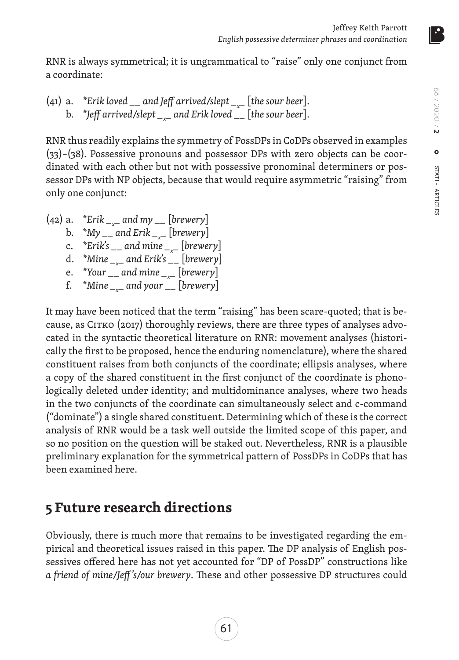RNR is always symmetrical; it is ungrammatical to "raise" only one conjunct from a coordinate:

(41) a. \**Erik loved \_\_ and Jeff arrived/slept \_x \_* [*the sour beer*]. b. \**Jeff arrived/slept \_x \_ and Erik loved \_\_* [*the sour beer*].

RNR thus readily explains the symmetry of PossDPs in CoDPs observed in examples (33)–(38). Possessive pronouns and possessor DPs with zero objects can be coordinated with each other but not with possessive pronominal determiners or possessor DPs with NP objects, because that would require asymmetric "raising" from only one conjunct:

(42) a. \**Erik \_x \_ and my \_\_* [*brewery*] b. \**My \_\_ and Erik \_x \_* [*brewery*] c. \**Erik's \_\_ and mine \_x \_* [*brewery*] d. \**Mine \_x \_ and Erik's \_\_* [*brewery*] e. \**Your \_\_ and mine \_x \_* [*brewery*] f. \**Mine \_x \_ and your \_\_* [*brewery*]

It may have been noticed that the term "raising" has been scare-quoted; that is because, as CITKO (2017) thoroughly reviews, there are three types of analyses advocated in the syntactic theoretical literature on RNR: movement analyses (historically the first to be proposed, hence the enduring nomenclature), where the shared constituent raises from both conjuncts of the coordinate; ellipsis analyses, where a copy of the shared constituent in the first conjunct of the coordinate is phonologically deleted under identity; and multidominance analyses, where two heads in the two conjuncts of the coordinate can simultaneously select and c-command ("dominate") a single shared constituent. Determining which of these is the correct analysis of RNR would be a task well outside the limited scope of this paper, and so no position on the question will be staked out. Nevertheless, RNR is a plausible preliminary explanation for the symmetrical pattern of PossDPs in CoDPs that has been examined here.

# **5 Future research directions**

Obviously, there is much more that remains to be investigated regarding the empirical and theoretical issues raised in this paper. The DP analysis of English possessives offered here has not yet accounted for "DP of PossDP" constructions like *a friend of mine/Jeff 's/our brewery*. These and other possessive DP structures could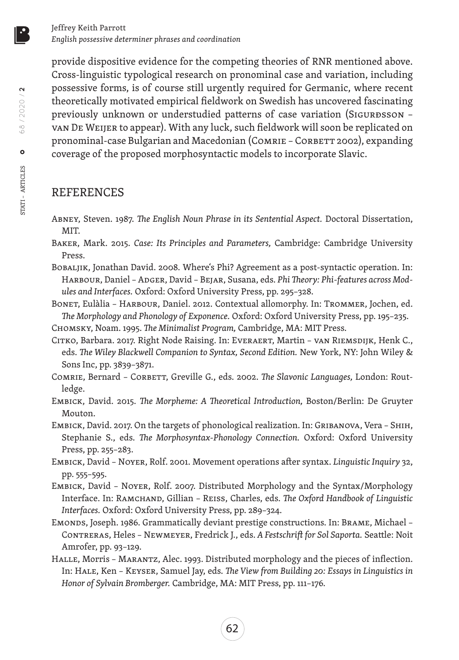provide dispositive evidence for the competing theories of RNR mentioned above. Cross-linguistic typological research on pronominal case and variation, including possessive forms, is of course still urgently required for Germanic, where recent theoretically motivated empirical fieldwork on Swedish has uncovered fascinating previously unknown or understudied patterns of case variation (SIGURDSSON van De Weijer to appear). With any luck, such fieldwork will soon be replicated on pronominal-case Bulgarian and Macedonian (COMRIE - CORBETT 2002), expanding coverage of the proposed morphosyntactic models to incorporate Slavic.

### REFERENCES

- Abney, Steven. 1987. *The English Noun Phrase in its Sentential Aspect.* Doctoral Dissertation, MIT.
- Baker, Mark. 2015. *Case: Its Principles and Parameters,* Cambridge: Cambridge University Press.
- BOBALJIK, Jonathan David. 2008. Where's Phi? Agreement as a post-syntactic operation. In: HARBOUR, Daniel - ADGER, David - BEJAR, Susana, eds. Phi Theory: Phi-features across Mod*ules and Interfaces.* Oxford: Oxford University Press, pp. 295–328.
- Bonet, Eulàlia Harbour, Daniel. 2012. Contextual allomorphy. In: Trommer, Jochen, ed. *The Morphology and Phonology of Exponence.* Oxford: Oxford University Press, pp. 195–235.
- Chomsky, Noam. 1995. *The Minimalist Program,* Cambridge, MA: MIT Press.
- Citko, Barbara. 2017. Right Node Raising. In: Everaert, Martin van Riemsdijk, Henk C., eds. *The Wiley Blackwell Companion to Syntax, Second Edition.* New York, NY: John Wiley & Sons Inc, pp. 3839–3871.
- Comrie, Bernard Corbett, Greville G., eds. 2002. *The Slavonic Languages,* London: Routledge.
- Embick, David. 2015. *The Morpheme: A Theoretical Introduction,* Boston/Berlin: De Gruyter Mouton.
- Embick, David. 2017. On the targets of phonological realization. In: Gribanova, Vera Shih, Stephanie S., eds. *The Morphosyntax-Phonology Connection.* Oxford: Oxford University Press, pp. 255–283.
- Embick, David Noyer, Rolf. 2001. Movement operations after syntax. *Linguistic Inquiry* 32, pp. 555–595.
- Embick, David Noyer, Rolf. 2007. Distributed Morphology and the Syntax/Morphology Interface. In: Ramchand, Gillian – Reiss, Charles, eds. *The Oxford Handbook of Linguistic Interfaces.* Oxford: Oxford University Press, pp. 289–324.
- Emonds, Joseph. 1986. Grammatically deviant prestige constructions. In: Brame, Michael Contreras, Heles – Newmeyer, Fredrick J., eds. *A Festschrift for Sol Saporta.* Seattle: Noit Amrofer, pp. 93–129.
- Halle, Morris Marantz, Alec. 1993. Distributed morphology and the pieces of inflection. In: Hale, Ken – Keyser, Samuel Jay, eds. *The View from Building 20: Essays in Linguistics in Honor of Sylvain Bromberger.* Cambridge, MA: MIT Press, pp. 111–176.

STATI – ARTICLES

68 / 2020 / **2**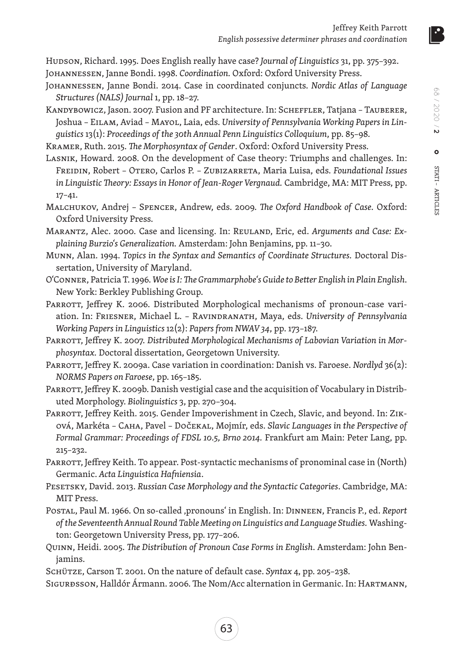Hudson, Richard. 1995. Does English really have case? *Journal of Linguistics* 31, pp. 375–392. Johannessen, Janne Bondi. 1998. *Coordination.* Oxford: Oxford University Press.

- Johannessen, Janne Bondi. 2014. Case in coordinated conjuncts. *Nordic Atlas of Language Structures (NALS) Journal* 1, pp. 18–27.
- KANDYBOWICZ, Jason. 2007. Fusion and PF architecture. In: SCHEFFLER, Tatjana TAUBERER, Joshua – Eilam, Aviad – Mayol, Laia, eds. *University of Pennsylvania Working Papers in Linguistics* 13(1): *Proceedings of the 30th Annual Penn Linguistics Colloquium*, pp. 85–98*.*

Kramer, Ruth. 2015. *The Morphosyntax of Gender*. Oxford: Oxford University Press.

- Lasnik, Howard. 2008. On the development of Case theory: Triumphs and challenges. In: Freidin, Robert – Otero, Carlos P. – Zubizarreta, Maria Luisa, eds. *Foundational Issues in Linguistic Theory: Essays in Honor of Jean-Roger Vergnaud.* Cambridge, MA: MIT Press, pp. 17–41.
- Malchukov, Andrej Spencer, Andrew, eds. 2009. *The Oxford Handbook of Case.* Oxford: Oxford University Press.
- Marantz, Alec. 2000. Case and licensing. In: Reuland, Eric, ed. *Arguments and Case: Explaining Burzio's Generalization.* Amsterdam: John Benjamins, pp. 11–30.
- Munn, Alan. 1994. *Topics in the Syntax and Semantics of Coordinate Structures.* Doctoral Dissertation, University of Maryland.
- O'Conner, Patricia T. 1996. *Woe is I: The Grammarphobe's Guide to Better English in Plain English*. New York: Berkley Publishing Group.
- PARROTT, Jeffrey K. 2006. Distributed Morphological mechanisms of pronoun-case variation. In: Friesner, Michael L. – Ravindranath, Maya, eds. *University of Pennsylvania Working Papers in Linguistics* 12(2): *Papers from NWAV 34*, pp. 173–187.
- Parrott, Jeffrey K. 2007. *Distributed Morphological Mechanisms of Labovian Variation in Morphosyntax.* Doctoral dissertation, Georgetown University.
- Parrott, Jeffrey K. 2009a. Case variation in coordination: Danish vs. Faroese. *Nordlyd* 36(2): *NORMS Papers on Faroese*, pp. 165–185.
- PARROTT, Jeffrey K. 2009b. Danish vestigial case and the acquisition of Vocabulary in Distributed Morphology. *Biolinguistics* 3, pp. 270–304.
- PARROTT, Jeffrey Keith. 2015. Gender Impoverishment in Czech, Slavic, and beyond. In: ZIKová, Markéta – Caha, Pavel – Dočekal, Mojmír, eds. *Slavic Languages in the Perspective of Formal Grammar: Proceedings of FDSL 10.5, Brno 2014.* Frankfurt am Main: Peter Lang, pp. 215–232.

PARROTT, Jeffrey Keith. To appear. Post-syntactic mechanisms of pronominal case in (North) Germanic. *Acta Linguistica Hafniensia*.

- Pesetsky, David. 2013. *Russian Case Morphology and the Syntactic Categories*. Cambridge, MA: MIT Press.
- Postal, Paul M. 1966. On so-called 'pronouns' in English. In: Dinneen, Francis P., ed. *Report of the Seventeenth Annual Round Table Meeting on Linguistics and Language Studies.* Washington: Georgetown University Press, pp. 177–206.
- Quinn, Heidi. 2005. *The Distribution of Pronoun Case Forms in English*. Amsterdam: John Benjamins.
- Schütze, Carson T. 2001. On the nature of default case. *Syntax* 4, pp. 205–238.
- Sigurðsson, Halldór Ármann. 2006. The Nom/Acc alternation in Germanic. In: Hartmann,